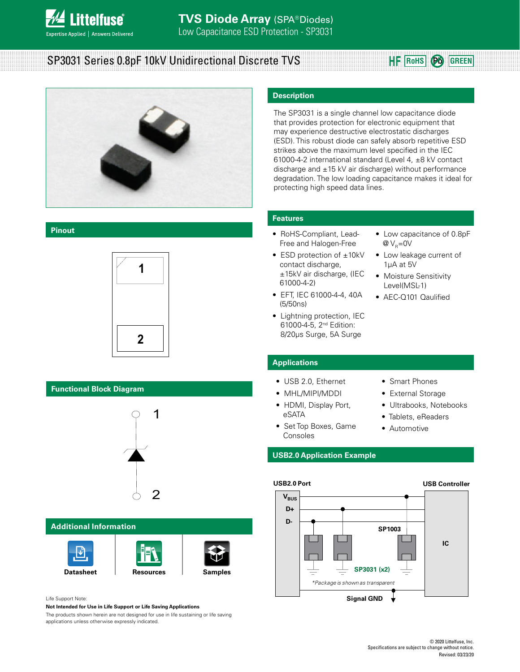

# SP3031 Series 0.8pF 10kV Unidirectional Discrete TVS

# **RoHS Pb GREEN**



#### **Pinout**



#### **Functional Block Diagram**



#### **Additional Information**







#### Life Support Note:

**Not Intended for Use in Life Support or Life Saving Applications**

The products shown herein are not designed for use in life sustaining or life saving applications unless otherwise expressly indicated.

#### **Description**

The SP3031 is a single channel low capacitance diode that provides protection for electronic equipment that may experience destructive electrostatic discharges (ESD). This robust diode can safely absorb repetitive ESD strikes above the maximum level specified in the IEC 61000-4-2 international standard (Level 4, ±8 kV contact discharge and ±15 kV air discharge) without performance degradation. The low loading capacitance makes it ideal for protecting high speed data lines.

#### **Features**

- RoHS-Compliant, Lead-Free and Halogen-Free
- ESD protection of ±10kV contact discharge, ±15kV air discharge, (IEC 61000-4-2)
- EFT, IEC 61000-4-4, 40A (5/50ns)
- Lightning protection, IEC 61000-4-5, 2nd Edition: 8/20μs Surge, 5A Surge
- Low capacitance of 0.8pF  $@V_{\circ}=0V$
- Low leakage current of 1μA at 5V
- Moisture Sensitivity Level(MSL-1)
- AEC-Q101 Qaulified

#### **Applications**

- USB 2.0, Ethernet
- MHL/MIPI/MDDI
- HDMI, Display Port, eSATA
- Set Top Boxes, Game Consoles
- Smart Phones
- External Storage
- Ultrabooks, Notebooks
- Tablets, eReaders
- Automotive

#### **USB2.0 Application Example**



#### **USB Controller**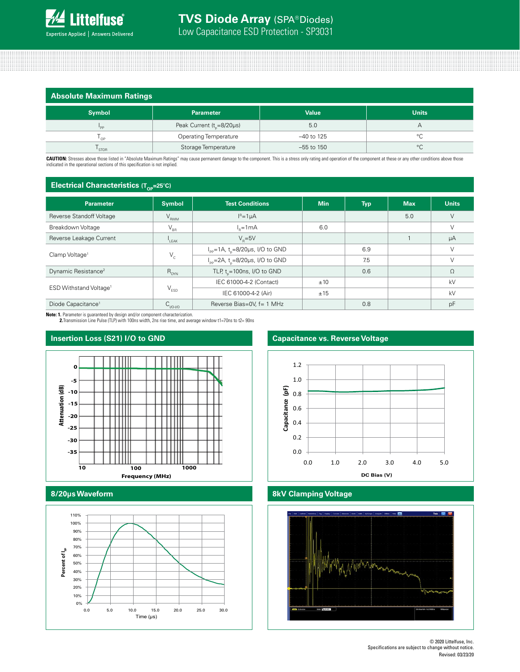| <b>Absolute Maximum Ratings</b> |                                     |              |              |  |
|---------------------------------|-------------------------------------|--------------|--------------|--|
| <b>Symbol</b>                   | <b>Parameter</b>                    | <b>Value</b> | <b>Units</b> |  |
| 'PP                             | Peak Current $(t_{0} = 8/20 \mu s)$ | 5.0          | А            |  |
| י 0P                            | <b>Operating Temperature</b>        | $-40$ to 125 | °C           |  |
| STOR                            | Storage Temperature                 | $-55$ to 150 | $^{\circ}C$  |  |

CAUTION: Stresses above those listed in "Absolute Maximum Ratings" may cause permanent damage to the component. This is a stress only rating and operation of the component at these or any other conditions above those indicated in the operational sections of this specification is not implied.

#### **Electrical Characteristics (Top-25°C)**

| Parameter                          | <b>Symbol</b>                          | <b>Test Conditions</b>                                    | <b>Min</b> | <b>Typ</b> | <b>Max</b> | <b>Units</b> |
|------------------------------------|----------------------------------------|-----------------------------------------------------------|------------|------------|------------|--------------|
| Reverse Standoff Voltage           | $V_{RWM}$                              | $IR=1\mu A$                                               |            |            | 5.0        |              |
| Breakdown Voltage                  | $V_{BB}$                               | $Ie=1mA$                                                  | 6.0        |            |            |              |
| Reverse Leakage Current            | $\mathsf{I}_{\mathsf{I} \mathsf{FAK}}$ | $V_{0} = 5V$                                              |            |            |            | μA           |
| Clamp Voltage <sup>1</sup>         | $V_c$                                  | $I_{\text{pp}}$ =1A, t <sub>n</sub> =8/20µs, I/O to GND   |            | 6.9        |            |              |
|                                    |                                        | $I_{\text{pp}} = 2A$ , t <sub>n</sub> =8/20µs, I/O to GND |            | 7.5        |            |              |
| Dynamic Resistance <sup>2</sup>    | $R_{_{\rm DYN}}$                       | TLP, $t = 100$ ns, I/O to GND                             |            | 0.6        |            | $\Omega$     |
| ESD Withstand Voltage <sup>1</sup> | $V_{ESD}$                              | IEC 61000-4-2 (Contact)                                   | ±10        |            |            | kV           |
|                                    |                                        | IEC 61000-4-2 (Air)                                       | ±15        |            |            | kV           |
| Diode Capacitance <sup>1</sup>     | $C_{VO-VO}$                            | Reverse Bias=0V, f= 1 MHz                                 |            | 0.8        |            | pF           |

**Note: 1.** Parameter is guaranteed by design and/or component characterization. **2.**Transmission Line Pulse (TLP) with 100ns width, 2ns rise time, and average window t1=70ns to t2= 90ns

### **Insertion Loss (S21) I/O to GND**



#### **8/20µs Waveform**



### **Capacitance vs. Reverse Voltage**



#### **8kV Clamping Voltage**

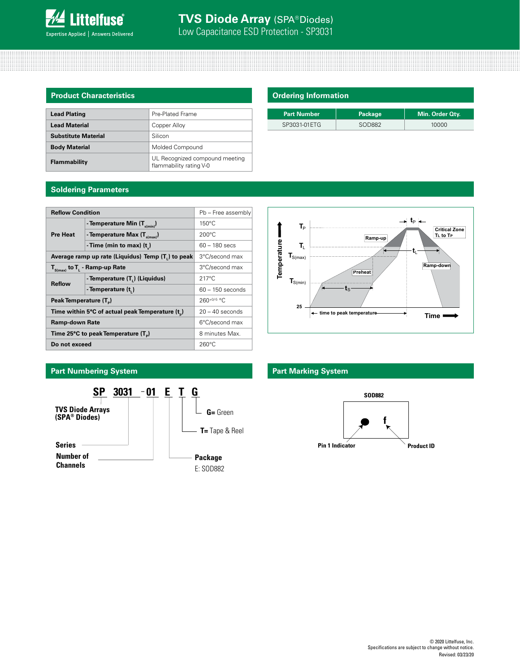

| <b>Product Characteristics</b> |                                                           |  |  |  |
|--------------------------------|-----------------------------------------------------------|--|--|--|
|                                |                                                           |  |  |  |
| <b>Lead Plating</b>            | Pre-Plated Frame                                          |  |  |  |
| <b>Lead Material</b>           | Copper Alloy                                              |  |  |  |
| <b>Substitute Material</b>     | Silicon                                                   |  |  |  |
| <b>Body Material</b>           | Molded Compound                                           |  |  |  |
| Flammability                   | UL Recognized compound meeting<br>flammability rating V-0 |  |  |  |

| <b>Ordering Information</b> |  |
|-----------------------------|--|
|                             |  |

| <b>Part Number</b> | <b>Package</b> | Min. Order Oty. |
|--------------------|----------------|-----------------|
| SP3031-01ETG       | SOD882         | 10000           |

### **Soldering Parameters**

| <b>Reflow Condition</b>                                        |                                      |                    |  |  |
|----------------------------------------------------------------|--------------------------------------|--------------------|--|--|
|                                                                | Pb - Free assembly                   |                    |  |  |
| <b>Pre Heat</b>                                                | - Temperature Min $(T_{s(min)})$     | $150^{\circ}$ C    |  |  |
|                                                                | - Temperature Max $(T_{\text{sum}})$ | $200^{\circ}$ C    |  |  |
|                                                                | - Time (min to max) $(t_2)$          | $60 - 180$ secs    |  |  |
| Average ramp up rate (Liquidus) Temp (T <sub>1</sub> ) to peak | 3°C/second max                       |                    |  |  |
| $T_{S(max)}$ to $T_{L}$ - Ramp-up Rate                         | 3°C/second max                       |                    |  |  |
| <b>Reflow</b>                                                  | - Temperature (T.) (Liquidus)        | $217^{\circ}$ C    |  |  |
|                                                                | - Temperature (t.)                   | $60 - 150$ seconds |  |  |
| Peak Temperature (T <sub>n</sub> )                             | $260^{+0/5}$ °C                      |                    |  |  |
| Time within 5°C of actual peak Temperature (t)                 | $20 - 40$ seconds                    |                    |  |  |
| <b>Ramp-down Rate</b>                                          | 6°C/second max                       |                    |  |  |
| Time 25°C to peak Temperature (T <sub>a</sub> )                | 8 minutes Max.                       |                    |  |  |
| Do not exceed                                                  | $260^{\circ}$ C                      |                    |  |  |

## **Part Numbering System Part Marking System**



# Temperature **Temperature Ramp-dow Ramp-do n Preheat T**S(min)  $\mathbf{t}_\mathrm{S}$ **25 time to peak temperature Time**

**Ramp-up**

**T**P





 $\rightarrow$  t<sub>P</sub>  $\leftarrow$ 

**Critical Zone TL to TP**